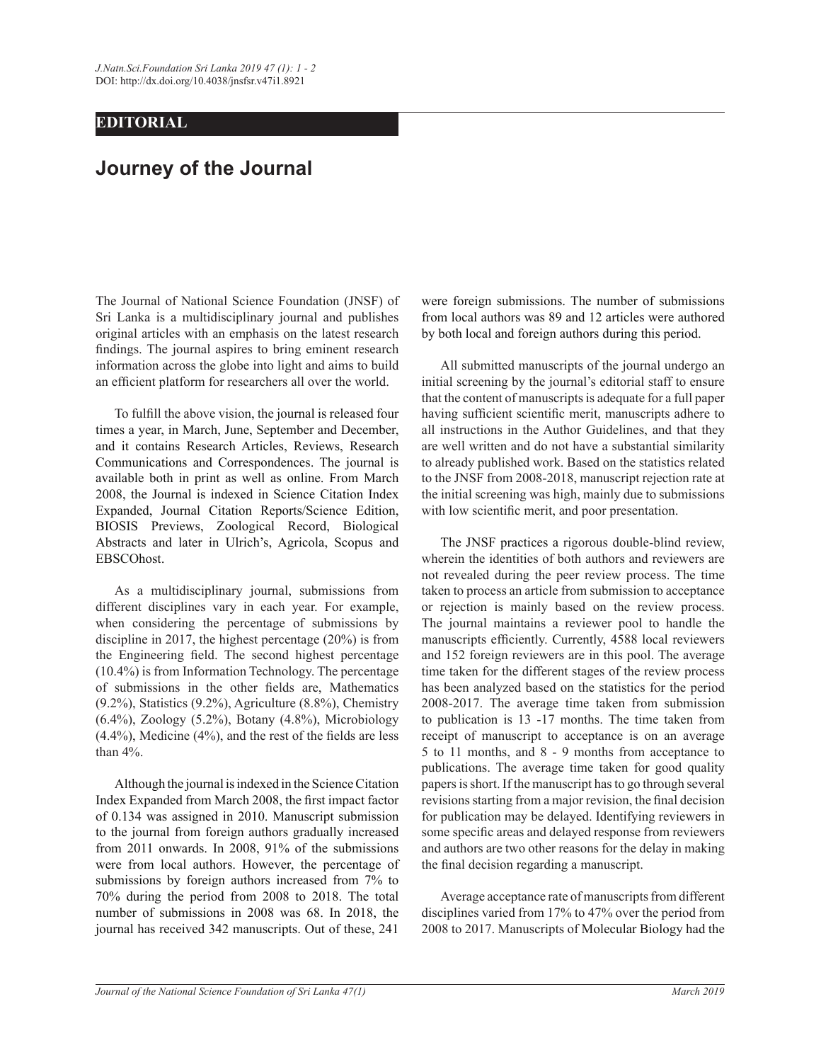## **EDITORIAL**

## **Journey of the Journal**

The Journal of National Science Foundation (JNSF) of Sri Lanka is a multidisciplinary journal and publishes original articles with an emphasis on the latest research findings. The journal aspires to bring eminent research information across the globe into light and aims to build an efficient platform for researchers all over the world.

To fulfill the above vision, the journal is released four times a year, in March, June, September and December, and it contains Research Articles, Reviews, Research Communications and Correspondences. The journal is available both in print as well as online. From March 2008, the Journal is indexed in Science Citation Index Expanded, Journal Citation Reports/Science Edition, BIOSIS Previews, Zoological Record, Biological Abstracts and later in Ulrich's, Agricola, Scopus and EBSCOhost.

As a multidisciplinary journal, submissions from different disciplines vary in each year. For example, when considering the percentage of submissions by discipline in 2017, the highest percentage  $(20\%)$  is from the Engineering field. The second highest percentage  $(10.4\%)$  is from Information Technology. The percentage of submissions in the other fields are, Mathematics  $(9.2\%)$ , Statistics  $(9.2\%)$ , Agriculture  $(8.8\%)$ , Chemistry  $(6.4\%)$ , Zoology  $(5.2\%)$ , Botany  $(4.8\%)$ , Microbiology  $(4.4\%)$ , Medicine  $(4\%)$ , and the rest of the fields are less than  $4\%$ .

 Although the journal is indexed in the Science Citation Index Expanded from March 2008, the first impact factor of 0.134 was assigned in 2010. Manuscript submission to the journal from foreign authors gradually increased from 2011 onwards. In 2008,  $91\%$  of the submissions were from local authors. However, the percentage of submissions by foreign authors increased from 7% to 70% during the period from 2008 to 2018. The total number of submissions in 2008 was 68. In 2018, the journal has received 342 manuscripts. Out of these, 241

were foreign submissions. The number of submissions from local authors was 89 and 12 articles were authored by both local and foreign authors during this period.

 All submitted manuscripts of the journal undergo an initial screening by the journal's editorial staff to ensure that the content of manuscripts is adequate for a full paper having sufficient scientific merit, manuscripts adhere to all instructions in the Author Guidelines, and that they are well written and do not have a substantial similarity to already published work. Based on the statistics related to the JNSF from 2008-2018, manuscript rejection rate at the initial screening was high, mainly due to submissions with low scientific merit, and poor presentation.

The JNSF practices a rigorous double-blind review, wherein the identities of both authors and reviewers are not revealed during the peer review process. The time taken to process an article from submission to acceptance or rejection is mainly based on the review process. The journal maintains a reviewer pool to handle the manuscripts efficiently. Currently, 4588 local reviewers and 152 foreign reviewers are in this pool. The average time taken for the different stages of the review process has been analyzed based on the statistics for the period 2008-2017. The average time taken from submission to publication is 13 -17 months. The time taken from receipt of manuscript to acceptance is on an average  $5$  to 11 months, and 8 - 9 months from acceptance to publications. The average time taken for good quality papers is short. If the manuscript has to go through several revisions starting from a major revision, the final decision for publication may be delayed. Identifying reviewers in some specific areas and delayed response from reviewers and authors are two other reasons for the delay in making the final decision regarding a manuscript.

 Average acceptance rate of manuscripts from different disciplines varied from  $17\%$  to  $47\%$  over the period from 2008 to 2017. Manuscripts of Molecular Biology had the